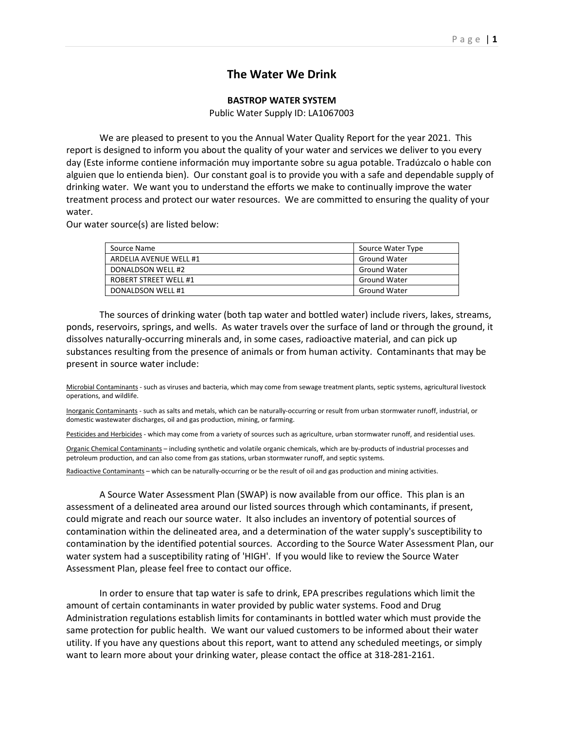# **The Water We Drink**

## **BASTROP WATER SYSTEM**

Public Water Supply ID: LA1067003

We are pleased to present to you the Annual Water Quality Report for the year 2021. This report is designed to inform you about the quality of your water and services we deliver to you every day (Este informe contiene información muy importante sobre su agua potable. Tradúzcalo o hable con alguien que lo entienda bien). Our constant goal is to provide you with a safe and dependable supply of drinking water. We want you to understand the efforts we make to continually improve the water treatment process and protect our water resources. We are committed to ensuring the quality of your water.

Our water source(s) are listed below:

| Source Name                  | Source Water Type   |
|------------------------------|---------------------|
| ARDELIA AVENUE WELL #1       | <b>Ground Water</b> |
| DONALDSON WELL #2            | <b>Ground Water</b> |
| <b>ROBERT STREET WELL #1</b> | <b>Ground Water</b> |
| DONALDSON WELL #1            | <b>Ground Water</b> |

The sources of drinking water (both tap water and bottled water) include rivers, lakes, streams, ponds, reservoirs, springs, and wells. As water travels over the surface of land or through the ground, it dissolves naturally-occurring minerals and, in some cases, radioactive material, and can pick up substances resulting from the presence of animals or from human activity. Contaminants that may be present in source water include:

Microbial Contaminants - such as viruses and bacteria, which may come from sewage treatment plants, septic systems, agricultural livestock operations, and wildlife.

Inorganic Contaminants - such as salts and metals, which can be naturally-occurring or result from urban stormwater runoff, industrial, or domestic wastewater discharges, oil and gas production, mining, or farming.

Pesticides and Herbicides - which may come from a variety of sources such as agriculture, urban stormwater runoff, and residential uses.

Organic Chemical Contaminants – including synthetic and volatile organic chemicals, which are by-products of industrial processes and petroleum production, and can also come from gas stations, urban stormwater runoff, and septic systems.

Radioactive Contaminants – which can be naturally-occurring or be the result of oil and gas production and mining activities.

A Source Water Assessment Plan (SWAP) is now available from our office. This plan is an assessment of a delineated area around our listed sources through which contaminants, if present, could migrate and reach our source water. It also includes an inventory of potential sources of contamination within the delineated area, and a determination of the water supply's susceptibility to contamination by the identified potential sources. According to the Source Water Assessment Plan, our water system had a susceptibility rating of 'HIGH'. If you would like to review the Source Water Assessment Plan, please feel free to contact our office.

In order to ensure that tap water is safe to drink, EPA prescribes regulations which limit the amount of certain contaminants in water provided by public water systems. Food and Drug Administration regulations establish limits for contaminants in bottled water which must provide the same protection for public health. We want our valued customers to be informed about their water utility. If you have any questions about this report, want to attend any scheduled meetings, or simply want to learn more about your drinking water, please contact the office at 318-281-2161.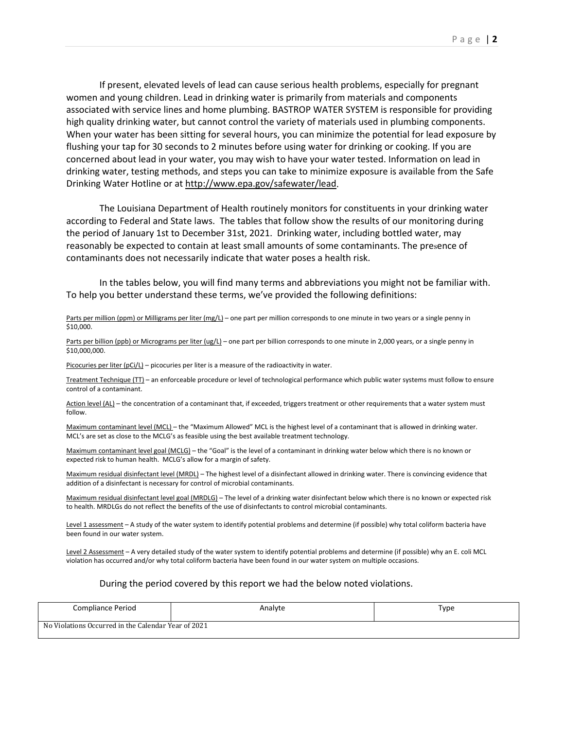If present, elevated levels of lead can cause serious health problems, especially for pregnant women and young children. Lead in drinking water is primarily from materials and components associated with service lines and home plumbing. BASTROP WATER SYSTEM is responsible for providing high quality drinking water, but cannot control the variety of materials used in plumbing components. When your water has been sitting for several hours, you can minimize the potential for lead exposure by flushing your tap for 30 seconds to 2 minutes before using water for drinking or cooking. If you are concerned about lead in your water, you may wish to have your water tested. Information on lead in drinking water, testing methods, and steps you can take to minimize exposure is available from the Safe Drinking Water Hotline or at [http://www.epa.gov/safewater/lead.](http://www.epa.gov/safewater/lead)

The Louisiana Department of Health routinely monitors for constituents in your drinking water according to Federal and State laws. The tables that follow show the results of our monitoring during the period of January 1st to December 31st, 2021. Drinking water, including bottled water, may reasonably be expected to contain at least small amounts of some contaminants. The presence of contaminants does not necessarily indicate that water poses a health risk.

In the tables below, you will find many terms and abbreviations you might not be familiar with. To help you better understand these terms, we've provided the following definitions:

### Parts per million (ppm) or Milligrams per liter (mg/L) – one part per million corresponds to one minute in two years or a single penny in \$10,000.

Parts per billion (ppb) or Micrograms per liter (ug/L) – one part per billion corresponds to one minute in 2,000 years, or a single penny in \$10,000,000.

Picocuries per liter (pCi/L) – picocuries per liter is a measure of the radioactivity in water.

Treatment Technique (TT) – an enforceable procedure or level of technological performance which public water systems must follow to ensure control of a contaminant.

Action level (AL) – the concentration of a contaminant that, if exceeded, triggers treatment or other requirements that a water system must follow.

Maximum contaminant level (MCL) – the "Maximum Allowed" MCL is the highest level of a contaminant that is allowed in drinking water. MCL's are set as close to the MCLG's as feasible using the best available treatment technology.

Maximum contaminant level goal (MCLG) – the "Goal" is the level of a contaminant in drinking water below which there is no known or expected risk to human health. MCLG's allow for a margin of safety.

Maximum residual disinfectant level (MRDL) – The highest level of a disinfectant allowed in drinking water. There is convincing evidence that addition of a disinfectant is necessary for control of microbial contaminants.

Maximum residual disinfectant level goal (MRDLG) – The level of a drinking water disinfectant below which there is no known or expected risk to health. MRDLGs do not reflect the benefits of the use of disinfectants to control microbial contaminants.

Level 1 assessment – A study of the water system to identify potential problems and determine (if possible) why total coliform bacteria have been found in our water system.

Level 2 Assessment - A very detailed study of the water system to identify potential problems and determine (if possible) why an E. coli MCL violation has occurred and/or why total coliform bacteria have been found in our water system on multiple occasions.

#### During the period covered by this report we had the below noted violations.

| Compliance Period                                        | Analyte | Type |
|----------------------------------------------------------|---------|------|
| 1 Violations Occurred in the Calendar Year of 2021<br>No |         |      |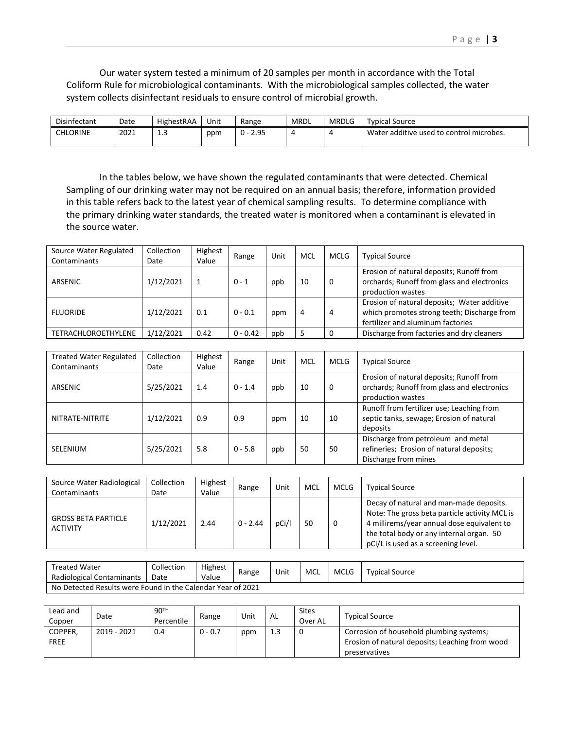Our water system tested a minimum of 20 samples per month in accordance with the Total Coliform Rule for microbiological contaminants. With the microbiological samples collected, the water system collects disinfectant residuals to ensure control of microbial growth.

| Disinfectant | Date | HighestRAA    | Unit | Range                                      | <b>MRDL</b> | <b>MRDLG</b> | Tvpical Source                           |
|--------------|------|---------------|------|--------------------------------------------|-------------|--------------|------------------------------------------|
| CHLORINE     | 2021 | <b></b><br>__ | ppm  | ว ดร<br><sub>n</sub><br><u>U -</u><br>ر.ر. |             |              | Water additive used to control microbes. |

In the tables below, we have shown the regulated contaminants that were detected. Chemical Sampling of our drinking water may not be required on an annual basis; therefore, information provided in this table refers back to the latest year of chemical sampling results. To determine compliance with the primary drinking water standards, the treated water is monitored when a contaminant is elevated in the source water.

| Source Water Regulated<br>Contaminants | Collection<br>Date | Highest<br>Value | Range      | Unit | <b>MCL</b> | <b>MCLG</b> | <b>Typical Source</b>                                                                                                           |  |
|----------------------------------------|--------------------|------------------|------------|------|------------|-------------|---------------------------------------------------------------------------------------------------------------------------------|--|
| ARSENIC                                | 1/12/2021          |                  | $0 - 1$    | ppb  | 10         | 0           | Erosion of natural deposits; Runoff from<br>orchards; Runoff from glass and electronics<br>production wastes                    |  |
| <b>FLUORIDE</b>                        | 1/12/2021          | 0.1              | $0 - 0.1$  | ppm  | 4          | 4           | Erosion of natural deposits; Water additive<br>which promotes strong teeth; Discharge from<br>fertilizer and aluminum factories |  |
| <b>TETRACHLOROETHYLENE</b>             | 1/12/2021          | 0.42             | $0 - 0.42$ | ppb  |            | 0           | Discharge from factories and dry cleaners                                                                                       |  |

| <b>Treated Water Regulated</b><br>Contaminants | Collection<br>Date | Highest<br>Value | Range     | Unit | MCL | MCLG | <b>Typical Source</b>                                                                                        |
|------------------------------------------------|--------------------|------------------|-----------|------|-----|------|--------------------------------------------------------------------------------------------------------------|
| ARSENIC                                        | 5/25/2021          | 1.4              | $0 - 1.4$ | ppb  | 10  | 0    | Erosion of natural deposits; Runoff from<br>orchards; Runoff from glass and electronics<br>production wastes |
| NITRATE-NITRITE                                | 1/12/2021          | 0.9              | 0.9       | ppm  | 10  | 10   | Runoff from fertilizer use; Leaching from<br>septic tanks, sewage; Erosion of natural<br>deposits            |
| SELENIUM                                       | 5/25/2021          | 5.8              | $0 - 5.8$ | ppb  | 50  | 50   | Discharge from petroleum and metal<br>refineries; Erosion of natural deposits;<br>Discharge from mines       |

| Source Water Radiological<br>Contaminants     | Collection<br>Date | Highest<br>Value | Range      | Unit | MCL | <b>MCLG</b> | <b>Typical Source</b>                                                                                                                                                                                                     |  |
|-----------------------------------------------|--------------------|------------------|------------|------|-----|-------------|---------------------------------------------------------------------------------------------------------------------------------------------------------------------------------------------------------------------------|--|
| <b>GROSS BETA PARTICLE</b><br><b>ACTIVITY</b> | 1/12/2021          | 2.44             | $0 - 2.44$ | pCi/ | 50  |             | Decay of natural and man-made deposits.<br>Note: The gross beta particle activity MCL is<br>4 millirems/year annual dose equivalent to<br>the total body or any internal organ. 50<br>pCi/L is used as a screening level. |  |

| Treated Water<br>Radiological Contaminants                  | Collection<br>Date | Highest<br>Value | Range | Unit | MCL | <b>MCLG</b> | <b>Typical Source</b> |  |
|-------------------------------------------------------------|--------------------|------------------|-------|------|-----|-------------|-----------------------|--|
| No Detected Results were Found in the Calendar Year of 2021 |                    |                  |       |      |     |             |                       |  |

| Lead and<br>Copper     | Date        | 90 <sup>TH</sup><br>Percentile | Range     | Unit | AL  | <b>Sites</b><br>Over AL | <b>Typical Source</b>                                                                                        |
|------------------------|-------------|--------------------------------|-----------|------|-----|-------------------------|--------------------------------------------------------------------------------------------------------------|
| COPPER,<br><b>FREE</b> | 2019 - 2021 | 0.4                            | $0 - 0.7$ | ppm  | 1.3 | 0                       | Corrosion of household plumbing systems;<br>Erosion of natural deposits; Leaching from wood<br>preservatives |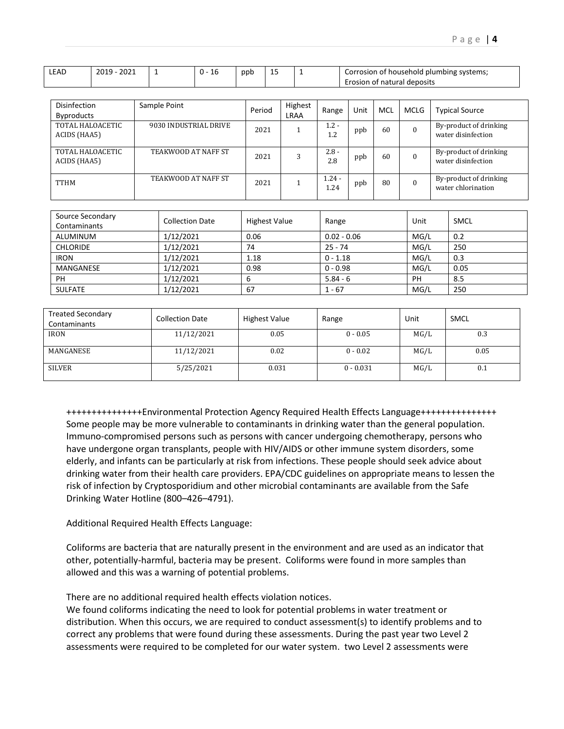| ،EAD | າດາ<br>ากาง | . .<br>πv | ppp | . .<br>-- | i of household plumbing systems;<br>Corrosion |
|------|-------------|-----------|-----|-----------|-----------------------------------------------|
|      |             |           |     | __        | † natural deposits                            |

| Disinfection      | Sample Point               | Period | Highest     | Range    | Unit | MCL | MCLG     | <b>Typical Source</b>  |
|-------------------|----------------------------|--------|-------------|----------|------|-----|----------|------------------------|
| <b>Byproducts</b> |                            |        | <b>LRAA</b> |          |      |     |          |                        |
| TOTAL HALOACETIC  | 9030 INDUSTRIAL DRIVE      | 2021   |             | $1.2 -$  | ppb  | 60  | $\Omega$ | By-product of drinking |
| ACIDS (HAA5)      |                            |        |             | 1.2      |      |     |          | water disinfection     |
|                   |                            |        |             |          |      |     |          |                        |
| TOTAL HALOACETIC  | TEAKWOOD AT NAFF ST        | 2021   | 3           | $2.8 -$  | ppb  | 60  | $\theta$ | By-product of drinking |
| ACIDS (HAA5)      |                            |        |             | 2.8      |      |     |          | water disinfection     |
|                   |                            |        |             |          |      |     |          |                        |
|                   | <b>TEAKWOOD AT NAFF ST</b> | 2021   |             | $1.24 -$ |      | 80  | $\Omega$ | By-product of drinking |
| TTHM              |                            |        |             | 1.24     | ppb  |     |          | water chlorination     |
|                   |                            |        |             |          |      |     |          |                        |

| Source Secondary<br>Contaminants | <b>Collection Date</b> | <b>Highest Value</b> | Range         | Unit | <b>SMCL</b> |
|----------------------------------|------------------------|----------------------|---------------|------|-------------|
| ALUMINUM                         | 1/12/2021              | 0.06                 | $0.02 - 0.06$ | MG/L | 0.2         |
| <b>CHLORIDE</b>                  | 1/12/2021              | 74                   | $25 - 74$     | MG/L | 250         |
| <b>IRON</b>                      | 1/12/2021              | 1.18                 | $0 - 1.18$    | MG/L | 0.3         |
| MANGANESE                        | 1/12/2021              | 0.98                 | $0 - 0.98$    | MG/L | 0.05        |
| <b>PH</b>                        | 1/12/2021              | b                    | $5.84 - 6$    | PH   | 8.5         |
| <b>SULFATE</b>                   | 1/12/2021              | 67                   | $1 - 67$      | MG/L | 250         |

| <b>Treated Secondary</b><br>Contaminants | <b>Collection Date</b> | <b>Highest Value</b> | Range       | Unit | <b>SMCL</b> |
|------------------------------------------|------------------------|----------------------|-------------|------|-------------|
| <b>IRON</b>                              | 11/12/2021             | 0.05                 | $0 - 0.05$  | MG/L | 0.3         |
| MANGANESE                                | 11/12/2021             | 0.02                 | $0 - 0.02$  | MG/L | 0.05        |
| <b>SILVER</b>                            | 5/25/2021              | 0.031                | $0 - 0.031$ | MG/L | 0.1         |

+++++++++++++++Environmental Protection Agency Required Health Effects Language+++++++++++++++ Some people may be more vulnerable to contaminants in drinking water than the general population. Immuno-compromised persons such as persons with cancer undergoing chemotherapy, persons who have undergone organ transplants, people with HIV/AIDS or other immune system disorders, some elderly, and infants can be particularly at risk from infections. These people should seek advice about drinking water from their health care providers. EPA/CDC guidelines on appropriate means to lessen the risk of infection by Cryptosporidium and other microbial contaminants are available from the Safe Drinking Water Hotline (800–426–4791).

Additional Required Health Effects Language:

Coliforms are bacteria that are naturally present in the environment and are used as an indicator that other, potentially-harmful, bacteria may be present. Coliforms were found in more samples than allowed and this was a warning of potential problems.

There are no additional required health effects violation notices.

We found coliforms indicating the need to look for potential problems in water treatment or distribution. When this occurs, we are required to conduct assessment(s) to identify problems and to correct any problems that were found during these assessments. During the past year two Level 2 assessments were required to be completed for our water system. two Level 2 assessments were